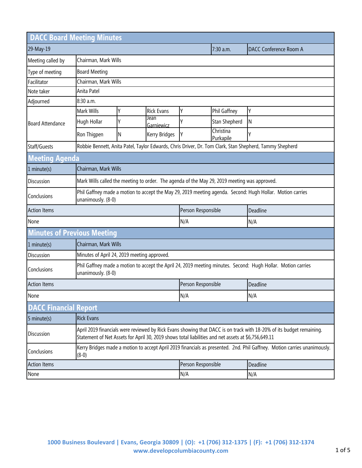| <b>DACC Board Meeting Minutes</b>                     |                                                                                                                                                                                                                             |                      |                    |    |                        |                                                                                                         |
|-------------------------------------------------------|-----------------------------------------------------------------------------------------------------------------------------------------------------------------------------------------------------------------------------|----------------------|--------------------|----|------------------------|---------------------------------------------------------------------------------------------------------|
| 29-May-19                                             |                                                                                                                                                                                                                             |                      |                    |    | $7:30$ a.m.            | <b>DACC Conference Room A</b>                                                                           |
| Meeting called by                                     | Chairman, Mark Wills                                                                                                                                                                                                        |                      |                    |    |                        |                                                                                                         |
| Type of meeting                                       | <b>Board Meeting</b>                                                                                                                                                                                                        |                      |                    |    |                        |                                                                                                         |
| Facilitator                                           |                                                                                                                                                                                                                             | Chairman, Mark Wills |                    |    |                        |                                                                                                         |
| Note taker                                            | Anita Patel                                                                                                                                                                                                                 |                      |                    |    |                        |                                                                                                         |
| Adjourned                                             | 8:30 a.m.                                                                                                                                                                                                                   |                      |                    |    |                        |                                                                                                         |
|                                                       | Mark Wills                                                                                                                                                                                                                  | Υ                    | <b>Rick Evans</b>  | Υ  | Phil Gaffney           | Y                                                                                                       |
| <b>Board Attendance</b>                               | Hugh Hollar                                                                                                                                                                                                                 | Υ                    | Jean<br>Garniewicz | ٧  | Stan Shepherd          | N.                                                                                                      |
|                                                       | Ron Thigpen                                                                                                                                                                                                                 | N                    | Kerry Bridges      | IΥ | Christina<br>Purkapile | γ                                                                                                       |
| Staff/Guests                                          |                                                                                                                                                                                                                             |                      |                    |    |                        | Robbie Bennett, Anita Patel, Taylor Edwards, Chris Driver, Dr. Tom Clark, Stan Shepherd, Tammy Shepherd |
| <b>Meeting Agenda</b>                                 |                                                                                                                                                                                                                             |                      |                    |    |                        |                                                                                                         |
| 1 minute(s)                                           |                                                                                                                                                                                                                             | Chairman, Mark Wills |                    |    |                        |                                                                                                         |
| Discussion                                            | Mark Wills called the meeting to order. The agenda of the May 29, 2019 meeting was approved.                                                                                                                                |                      |                    |    |                        |                                                                                                         |
| Conclusions                                           | Phil Gaffney made a motion to accept the May 29, 2019 meeting agenda. Second: Hugh Hollar. Motion carries<br>unanimously. (8-0)                                                                                             |                      |                    |    |                        |                                                                                                         |
| <b>Action Items</b><br>Person Responsible<br>Deadline |                                                                                                                                                                                                                             |                      |                    |    |                        |                                                                                                         |
| None                                                  |                                                                                                                                                                                                                             |                      | N/A                |    | N/A                    |                                                                                                         |
| <b>Minutes of Previous Meeting</b>                    |                                                                                                                                                                                                                             |                      |                    |    |                        |                                                                                                         |
| 1 minute(s)                                           | Chairman, Mark Wills                                                                                                                                                                                                        |                      |                    |    |                        |                                                                                                         |
| Discussion                                            | Minutes of April 24, 2019 meeting approved.                                                                                                                                                                                 |                      |                    |    |                        |                                                                                                         |
| Conclusions                                           | Phil Gaffney made a motion to accept the April 24, 2019 meeting minutes. Second: Hugh Hollar. Motion carries<br>unanimously. (8-0)                                                                                          |                      |                    |    |                        |                                                                                                         |
| <b>Action Items</b>                                   |                                                                                                                                                                                                                             |                      | Person Responsible |    | Deadline               |                                                                                                         |
| None                                                  |                                                                                                                                                                                                                             |                      | N/A                |    | N/A                    |                                                                                                         |
| <b>DACC Financial Report</b>                          |                                                                                                                                                                                                                             |                      |                    |    |                        |                                                                                                         |
| 5 minute(s)                                           | <b>Rick Evans</b>                                                                                                                                                                                                           |                      |                    |    |                        |                                                                                                         |
| Discussion                                            | April 2019 financials were reviewed by Rick Evans showing that DACC is on track with 18-20% of its budget remaining.<br>Statement of Net Assets for April 30, 2019 shows total liabilities and net assets at \$6,756,649.11 |                      |                    |    |                        |                                                                                                         |
| Conclusions                                           | Kerry Bridges made a motion to accept April 2019 financials as presented. 2nd. Phil Gaffney. Motion carries unanimously.<br>$(8-0)$                                                                                         |                      |                    |    |                        |                                                                                                         |
| <b>Action Items</b>                                   |                                                                                                                                                                                                                             |                      | Person Responsible |    | Deadline               |                                                                                                         |
| None                                                  |                                                                                                                                                                                                                             |                      | N/A                |    | N/A                    |                                                                                                         |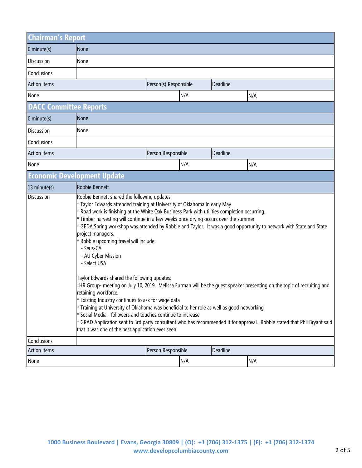| <b>Chairman's Report</b>           |                                                                                                                                                                                                                                                                                                                                                                                                                                                                                                                                                                                                                                                                                                                                                                                                                                                                                                                                                                                                                                                                                                                                                                   |                    |     |          |     |
|------------------------------------|-------------------------------------------------------------------------------------------------------------------------------------------------------------------------------------------------------------------------------------------------------------------------------------------------------------------------------------------------------------------------------------------------------------------------------------------------------------------------------------------------------------------------------------------------------------------------------------------------------------------------------------------------------------------------------------------------------------------------------------------------------------------------------------------------------------------------------------------------------------------------------------------------------------------------------------------------------------------------------------------------------------------------------------------------------------------------------------------------------------------------------------------------------------------|--------------------|-----|----------|-----|
| $0$ minute(s)                      | <b>None</b>                                                                                                                                                                                                                                                                                                                                                                                                                                                                                                                                                                                                                                                                                                                                                                                                                                                                                                                                                                                                                                                                                                                                                       |                    |     |          |     |
| <b>Discussion</b>                  | None                                                                                                                                                                                                                                                                                                                                                                                                                                                                                                                                                                                                                                                                                                                                                                                                                                                                                                                                                                                                                                                                                                                                                              |                    |     |          |     |
| Conclusions                        |                                                                                                                                                                                                                                                                                                                                                                                                                                                                                                                                                                                                                                                                                                                                                                                                                                                                                                                                                                                                                                                                                                                                                                   |                    |     |          |     |
| <b>Action Items</b>                | Person(s) Responsible<br>Deadline                                                                                                                                                                                                                                                                                                                                                                                                                                                                                                                                                                                                                                                                                                                                                                                                                                                                                                                                                                                                                                                                                                                                 |                    |     |          |     |
| None                               |                                                                                                                                                                                                                                                                                                                                                                                                                                                                                                                                                                                                                                                                                                                                                                                                                                                                                                                                                                                                                                                                                                                                                                   |                    | N/A |          | N/A |
| <b>DACC Committee Reports</b>      |                                                                                                                                                                                                                                                                                                                                                                                                                                                                                                                                                                                                                                                                                                                                                                                                                                                                                                                                                                                                                                                                                                                                                                   |                    |     |          |     |
| $0$ minute(s)                      | None                                                                                                                                                                                                                                                                                                                                                                                                                                                                                                                                                                                                                                                                                                                                                                                                                                                                                                                                                                                                                                                                                                                                                              |                    |     |          |     |
| Discussion                         | None                                                                                                                                                                                                                                                                                                                                                                                                                                                                                                                                                                                                                                                                                                                                                                                                                                                                                                                                                                                                                                                                                                                                                              |                    |     |          |     |
| Conclusions                        |                                                                                                                                                                                                                                                                                                                                                                                                                                                                                                                                                                                                                                                                                                                                                                                                                                                                                                                                                                                                                                                                                                                                                                   |                    |     |          |     |
| <b>Action Items</b>                |                                                                                                                                                                                                                                                                                                                                                                                                                                                                                                                                                                                                                                                                                                                                                                                                                                                                                                                                                                                                                                                                                                                                                                   | Person Responsible |     | Deadline |     |
| None                               |                                                                                                                                                                                                                                                                                                                                                                                                                                                                                                                                                                                                                                                                                                                                                                                                                                                                                                                                                                                                                                                                                                                                                                   |                    | N/A |          | N/A |
| <b>Economic Development Update</b> |                                                                                                                                                                                                                                                                                                                                                                                                                                                                                                                                                                                                                                                                                                                                                                                                                                                                                                                                                                                                                                                                                                                                                                   |                    |     |          |     |
| 13 minute(s)                       | Robbie Bennett                                                                                                                                                                                                                                                                                                                                                                                                                                                                                                                                                                                                                                                                                                                                                                                                                                                                                                                                                                                                                                                                                                                                                    |                    |     |          |     |
| <b>Discussion</b>                  | Robbie Bennett shared the following updates:<br>* Taylor Edwards attended training at University of Oklahoma in early May<br>* Road work is finishing at the White Oak Business Park with utilities completion occurring.<br>* Timber harvesting will continue in a few weeks once drying occurs over the summer<br>* GEDA Spring workshop was attended by Robbie and Taylor. It was a good opportunity to network with State and State<br>project managers.<br>* Robbie upcoming travel will include:<br>- Seus-CA<br>- AU Cyber Mission<br>- Select USA<br>Taylor Edwards shared the following updates:<br>*HR Group- meeting on July 10, 2019. Melissa Furman will be the guest speaker presenting on the topic of recruiting and<br>retaining workforce.<br>* Existing Industry continues to ask for wage data<br>* Training at University of Oklahoma was beneficial to her role as well as good networking<br>* Social Media - followers and touches continue to increase<br>* GRAD Application sent to 3rd party consultant who has recommended it for approval. Robbie stated that Phil Bryant said<br>that it was one of the best application ever seen. |                    |     |          |     |
| Conclusions                        |                                                                                                                                                                                                                                                                                                                                                                                                                                                                                                                                                                                                                                                                                                                                                                                                                                                                                                                                                                                                                                                                                                                                                                   |                    |     |          |     |
| <b>Action Items</b>                |                                                                                                                                                                                                                                                                                                                                                                                                                                                                                                                                                                                                                                                                                                                                                                                                                                                                                                                                                                                                                                                                                                                                                                   | Person Responsible |     | Deadline |     |
| None                               |                                                                                                                                                                                                                                                                                                                                                                                                                                                                                                                                                                                                                                                                                                                                                                                                                                                                                                                                                                                                                                                                                                                                                                   |                    | N/A |          | N/A |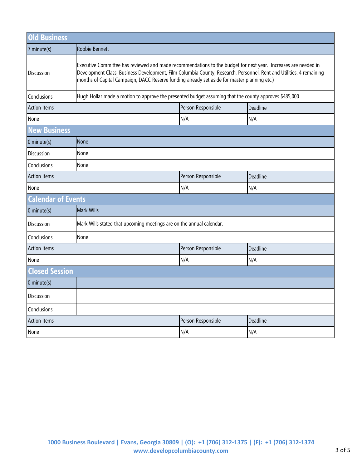| <b>Old Business</b>       |                                                                                                                                                                                                                                                                                                                                       |                    |          |  |  |  |
|---------------------------|---------------------------------------------------------------------------------------------------------------------------------------------------------------------------------------------------------------------------------------------------------------------------------------------------------------------------------------|--------------------|----------|--|--|--|
| $7$ minute(s)             | Robbie Bennett                                                                                                                                                                                                                                                                                                                        |                    |          |  |  |  |
| <b>Discussion</b>         | Executive Committee has reviewed and made recommendations to the budget for next year. Increases are needed in<br>Development Class, Business Development, Film Columbia County, Research, Personnel, Rent and Utilities, 4 remaining<br>months of Capital Campaign, DACC Reserve funding already set aside for master planning etc.) |                    |          |  |  |  |
| Conclusions               | Hugh Hollar made a motion to approve the presented budget assuming that the county approves \$485,000                                                                                                                                                                                                                                 |                    |          |  |  |  |
| <b>Action Items</b>       |                                                                                                                                                                                                                                                                                                                                       | Person Responsible | Deadline |  |  |  |
| None                      |                                                                                                                                                                                                                                                                                                                                       | N/A                | N/A      |  |  |  |
| <b>New Business</b>       |                                                                                                                                                                                                                                                                                                                                       |                    |          |  |  |  |
| $0$ minute(s)             | None                                                                                                                                                                                                                                                                                                                                  |                    |          |  |  |  |
| Discussion                | None                                                                                                                                                                                                                                                                                                                                  |                    |          |  |  |  |
| Conclusions               | None                                                                                                                                                                                                                                                                                                                                  |                    |          |  |  |  |
| <b>Action Items</b>       |                                                                                                                                                                                                                                                                                                                                       | Person Responsible | Deadline |  |  |  |
| None                      |                                                                                                                                                                                                                                                                                                                                       | N/A                | N/A      |  |  |  |
| <b>Calendar of Events</b> |                                                                                                                                                                                                                                                                                                                                       |                    |          |  |  |  |
| 0 minute(s)               | <b>Mark Wills</b>                                                                                                                                                                                                                                                                                                                     |                    |          |  |  |  |
| Discussion                | Mark Wills stated that upcoming meetings are on the annual calendar.                                                                                                                                                                                                                                                                  |                    |          |  |  |  |
| Conclusions               | None                                                                                                                                                                                                                                                                                                                                  |                    |          |  |  |  |
| <b>Action Items</b>       |                                                                                                                                                                                                                                                                                                                                       | Person Responsible | Deadline |  |  |  |
| None                      |                                                                                                                                                                                                                                                                                                                                       | N/A                | N/A      |  |  |  |
| <b>Closed Session</b>     |                                                                                                                                                                                                                                                                                                                                       |                    |          |  |  |  |
| 0 minute(s)               |                                                                                                                                                                                                                                                                                                                                       |                    |          |  |  |  |
| <b>Discussion</b>         |                                                                                                                                                                                                                                                                                                                                       |                    |          |  |  |  |
| Conclusions               |                                                                                                                                                                                                                                                                                                                                       |                    |          |  |  |  |
| <b>Action Items</b>       |                                                                                                                                                                                                                                                                                                                                       | Person Responsible | Deadline |  |  |  |
| None                      |                                                                                                                                                                                                                                                                                                                                       | N/A                | N/A      |  |  |  |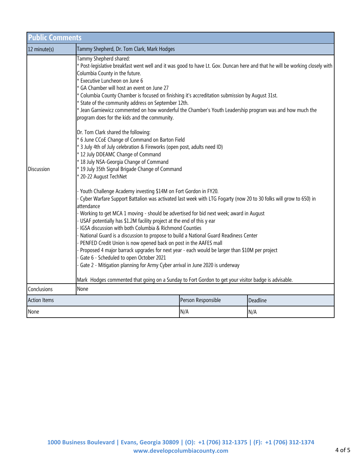| <b>Public Comments</b> |                                                                                                                                                                                                                                                                                                                                                                                                                                                                                                                                                                                                                                                                                                                         |                                                                                                                                                                                                                                                                                                                                                                                                                                                                                                                                                                                                                                                                                                                                                                                |          |  |  |  |
|------------------------|-------------------------------------------------------------------------------------------------------------------------------------------------------------------------------------------------------------------------------------------------------------------------------------------------------------------------------------------------------------------------------------------------------------------------------------------------------------------------------------------------------------------------------------------------------------------------------------------------------------------------------------------------------------------------------------------------------------------------|--------------------------------------------------------------------------------------------------------------------------------------------------------------------------------------------------------------------------------------------------------------------------------------------------------------------------------------------------------------------------------------------------------------------------------------------------------------------------------------------------------------------------------------------------------------------------------------------------------------------------------------------------------------------------------------------------------------------------------------------------------------------------------|----------|--|--|--|
| 12 minute(s)           | Tammy Shepherd, Dr. Tom Clark, Mark Hodges                                                                                                                                                                                                                                                                                                                                                                                                                                                                                                                                                                                                                                                                              |                                                                                                                                                                                                                                                                                                                                                                                                                                                                                                                                                                                                                                                                                                                                                                                |          |  |  |  |
| <b>Discussion</b>      | Tammy Shepherd shared:<br>Columbia County in the future.<br>* Executive Luncheon on June 6<br>* GA Chamber will host an event on June 27<br>program does for the kids and the community.<br>Dr. Tom Clark shared the following:<br>* 12 July DDEAMC Change of Command<br>* 18 July NSA-Georgia Change of Command<br>* 20-22 August TechNet<br>attendance                                                                                                                                                                                                                                                                                                                                                                | * Post-legislative breakfast went well and it was good to have Lt. Gov. Duncan here and that he will be working closely with<br>* Columbia County Chamber is focused on finishing it's accreditation submission by August 31st.<br>* State of the community address on September 12th.<br>* Jean Garniewicz commented on how wonderful the Chamber's Youth Leadership program was and how much the<br>* 6 June CCoE Change of Command on Barton Field<br>* 3 July 4th of July celebration & Fireworks (open post, adults need ID)<br>* 19 July 35th Signal Brigade Change of Command<br>- Youth Challenge Academy investing \$14M on Fort Gordon in FY20.<br>Cyber Warfare Support Battalion was activated last week with LTG Fogarty (now 20 to 30 folks will grow to 650) in |          |  |  |  |
|                        | Working to get MCA 1 moving - should be advertised for bid next week; award in August<br>USAF potentially has \$1.2M facility project at the end of this y ear<br>IGSA discussion with both Columbia & Richmond Counties<br>National Guard is a discussion to propose to build a National Guard Readiness Center<br>PENFED Credit Union is now opened back on post in the AAFES mall<br>Proposed 4 major barrack upgrades for next year - each would be larger than \$10M per project<br>Gate 6 - Scheduled to open October 2021<br>Gate 2 - Mitigation planning for Army Cyber arrival in June 2020 is underway<br>Mark Hodges commented that going on a Sunday to Fort Gordon to get your visitor badge is advisable. |                                                                                                                                                                                                                                                                                                                                                                                                                                                                                                                                                                                                                                                                                                                                                                                |          |  |  |  |
| Conclusions            | None                                                                                                                                                                                                                                                                                                                                                                                                                                                                                                                                                                                                                                                                                                                    |                                                                                                                                                                                                                                                                                                                                                                                                                                                                                                                                                                                                                                                                                                                                                                                |          |  |  |  |
| <b>Action Items</b>    |                                                                                                                                                                                                                                                                                                                                                                                                                                                                                                                                                                                                                                                                                                                         | Person Responsible                                                                                                                                                                                                                                                                                                                                                                                                                                                                                                                                                                                                                                                                                                                                                             | Deadline |  |  |  |
| None                   |                                                                                                                                                                                                                                                                                                                                                                                                                                                                                                                                                                                                                                                                                                                         | N/A                                                                                                                                                                                                                                                                                                                                                                                                                                                                                                                                                                                                                                                                                                                                                                            | N/A      |  |  |  |